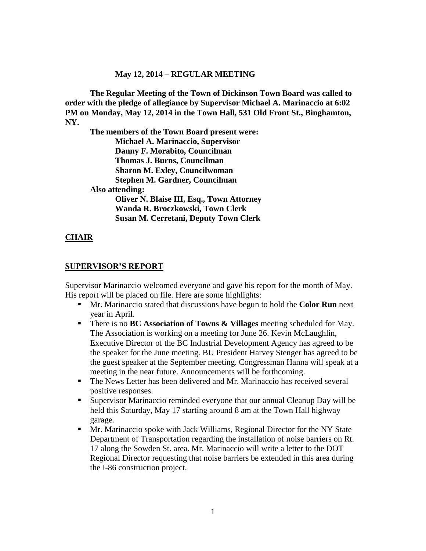#### **May 12, 2014 – REGULAR MEETING**

**The Regular Meeting of the Town of Dickinson Town Board was called to order with the pledge of allegiance by Supervisor Michael A. Marinaccio at 6:02 PM on Monday, May 12, 2014 in the Town Hall, 531 Old Front St., Binghamton, NY.** 

**The members of the Town Board present were: Michael A. Marinaccio, Supervisor Danny F. Morabito, Councilman Thomas J. Burns, Councilman Sharon M. Exley, Councilwoman Stephen M. Gardner, Councilman Also attending: Oliver N. Blaise III, Esq., Town Attorney Wanda R. Broczkowski, Town Clerk Susan M. Cerretani, Deputy Town Clerk**

#### **CHAIR**

#### **SUPERVISOR'S REPORT**

Supervisor Marinaccio welcomed everyone and gave his report for the month of May. His report will be placed on file. Here are some highlights:

- Mr. Marinaccio stated that discussions have begun to hold the **Color Run** next year in April.
- There is no **BC Association of Towns & Villages** meeting scheduled for May. The Association is working on a meeting for June 26. Kevin McLaughlin, Executive Director of the BC Industrial Development Agency has agreed to be the speaker for the June meeting. BU President Harvey Stenger has agreed to be the guest speaker at the September meeting. Congressman Hanna will speak at a meeting in the near future. Announcements will be forthcoming.
- The News Letter has been delivered and Mr. Marinaccio has received several positive responses.
- Supervisor Marinaccio reminded everyone that our annual Cleanup Day will be held this Saturday, May 17 starting around 8 am at the Town Hall highway garage.
- Mr. Marinaccio spoke with Jack Williams, Regional Director for the NY State Department of Transportation regarding the installation of noise barriers on Rt. 17 along the Sowden St. area. Mr. Marinaccio will write a letter to the DOT Regional Director requesting that noise barriers be extended in this area during the I-86 construction project.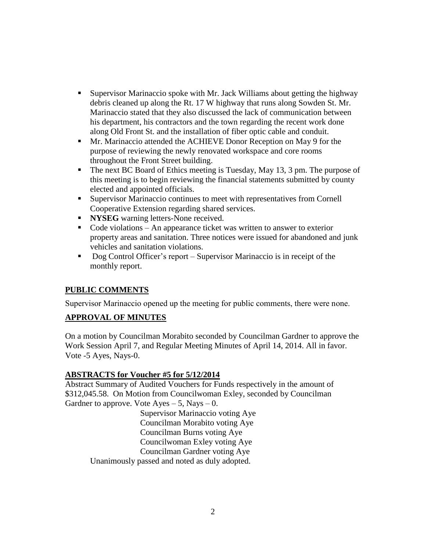- Supervisor Marinaccio spoke with Mr. Jack Williams about getting the highway debris cleaned up along the Rt. 17 W highway that runs along Sowden St. Mr. Marinaccio stated that they also discussed the lack of communication between his department, his contractors and the town regarding the recent work done along Old Front St. and the installation of fiber optic cable and conduit.
- Mr. Marinaccio attended the ACHIEVE Donor Reception on May 9 for the purpose of reviewing the newly renovated workspace and core rooms throughout the Front Street building.
- The next BC Board of Ethics meeting is Tuesday, May 13, 3 pm. The purpose of this meeting is to begin reviewing the financial statements submitted by county elected and appointed officials.
- Supervisor Marinaccio continues to meet with representatives from Cornell Cooperative Extension regarding shared services.
- **NYSEG** warning letters-None received.
- $\blacksquare$  Code violations An appearance ticket was written to answer to exterior property areas and sanitation. Three notices were issued for abandoned and junk vehicles and sanitation violations.
- Dog Control Officer's report Supervisor Marinaccio is in receipt of the monthly report.

# **PUBLIC COMMENTS**

Supervisor Marinaccio opened up the meeting for public comments, there were none.

### **APPROVAL OF MINUTES**

On a motion by Councilman Morabito seconded by Councilman Gardner to approve the Work Session April 7, and Regular Meeting Minutes of April 14, 2014. All in favor. Vote -5 Ayes, Nays-0.

### **ABSTRACTS for Voucher #5 for 5/12/2014**

Abstract Summary of Audited Vouchers for Funds respectively in the amount of \$312,045.58. On Motion from Councilwoman Exley, seconded by Councilman Gardner to approve. Vote  $Ayes - 5$ , Nays  $- 0$ .

Supervisor Marinaccio voting Aye Councilman Morabito voting Aye Councilman Burns voting Aye Councilwoman Exley voting Aye Councilman Gardner voting Aye Unanimously passed and noted as duly adopted.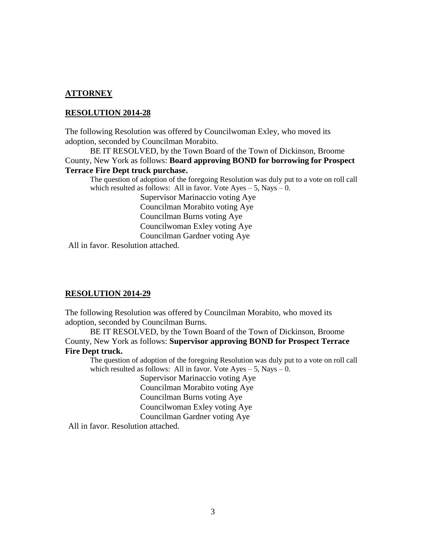#### **ATTORNEY**

#### **RESOLUTION 2014-28**

The following Resolution was offered by Councilwoman Exley, who moved its adoption, seconded by Councilman Morabito.

BE IT RESOLVED, by the Town Board of the Town of Dickinson, Broome County, New York as follows: **Board approving BOND for borrowing for Prospect Terrace Fire Dept truck purchase.**

The question of adoption of the foregoing Resolution was duly put to a vote on roll call which resulted as follows: All in favor. Vote  $Aves - 5$ , Nays  $-0$ .

> Supervisor Marinaccio voting Aye Councilman Morabito voting Aye Councilman Burns voting Aye Councilwoman Exley voting Aye Councilman Gardner voting Aye

All in favor. Resolution attached.

#### **RESOLUTION 2014-29**

The following Resolution was offered by Councilman Morabito, who moved its adoption, seconded by Councilman Burns.

BE IT RESOLVED, by the Town Board of the Town of Dickinson, Broome County, New York as follows: **Supervisor approving BOND for Prospect Terrace Fire Dept truck.**

The question of adoption of the foregoing Resolution was duly put to a vote on roll call which resulted as follows: All in favor. Vote  $Ayes - 5$ , Nays  $- 0$ .

> Supervisor Marinaccio voting Aye Councilman Morabito voting Aye Councilman Burns voting Aye Councilwoman Exley voting Aye Councilman Gardner voting Aye

All in favor. Resolution attached.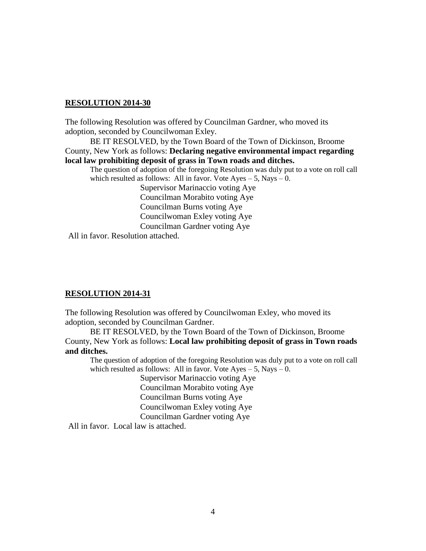#### **RESOLUTION 2014-30**

The following Resolution was offered by Councilman Gardner, who moved its adoption, seconded by Councilwoman Exley.

BE IT RESOLVED, by the Town Board of the Town of Dickinson, Broome County, New York as follows: **Declaring negative environmental impact regarding local law prohibiting deposit of grass in Town roads and ditches.**

The question of adoption of the foregoing Resolution was duly put to a vote on roll call which resulted as follows: All in favor. Vote  $Ayes - 5$ , Nays  $- 0$ .

> Supervisor Marinaccio voting Aye Councilman Morabito voting Aye Councilman Burns voting Aye Councilwoman Exley voting Aye Councilman Gardner voting Aye

All in favor. Resolution attached.

#### **RESOLUTION 2014-31**

The following Resolution was offered by Councilwoman Exley, who moved its adoption, seconded by Councilman Gardner.

BE IT RESOLVED, by the Town Board of the Town of Dickinson, Broome County, New York as follows: **Local law prohibiting deposit of grass in Town roads and ditches.**

The question of adoption of the foregoing Resolution was duly put to a vote on roll call which resulted as follows: All in favor. Vote  $Ayes - 5$ , Nays  $- 0$ .

> Supervisor Marinaccio voting Aye Councilman Morabito voting Aye Councilman Burns voting Aye Councilwoman Exley voting Aye Councilman Gardner voting Aye

All in favor. Local law is attached.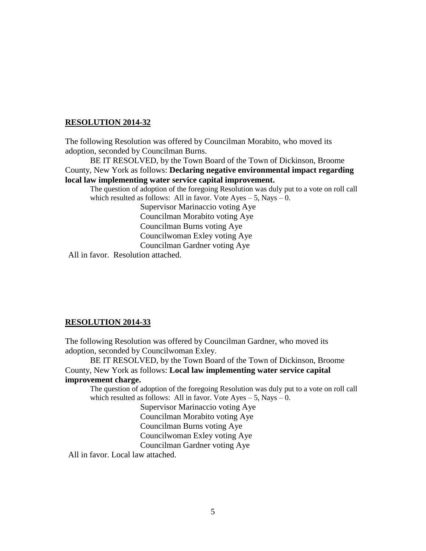### **RESOLUTION 2014-32**

The following Resolution was offered by Councilman Morabito, who moved its adoption, seconded by Councilman Burns.

BE IT RESOLVED, by the Town Board of the Town of Dickinson, Broome County, New York as follows: **Declaring negative environmental impact regarding local law implementing water service capital improvement.**

The question of adoption of the foregoing Resolution was duly put to a vote on roll call which resulted as follows: All in favor. Vote Ayes  $-5$ , Nays  $-0$ .

> Supervisor Marinaccio voting Aye Councilman Morabito voting Aye Councilman Burns voting Aye Councilwoman Exley voting Aye Councilman Gardner voting Aye

All in favor. Resolution attached.

#### **RESOLUTION 2014-33**

The following Resolution was offered by Councilman Gardner, who moved its adoption, seconded by Councilwoman Exley.

BE IT RESOLVED, by the Town Board of the Town of Dickinson, Broome County, New York as follows: **Local law implementing water service capital improvement charge.**

The question of adoption of the foregoing Resolution was duly put to a vote on roll call which resulted as follows: All in favor. Vote  $Ayes - 5$ , Nays  $- 0$ .

> Supervisor Marinaccio voting Aye Councilman Morabito voting Aye Councilman Burns voting Aye Councilwoman Exley voting Aye Councilman Gardner voting Aye

All in favor. Local law attached.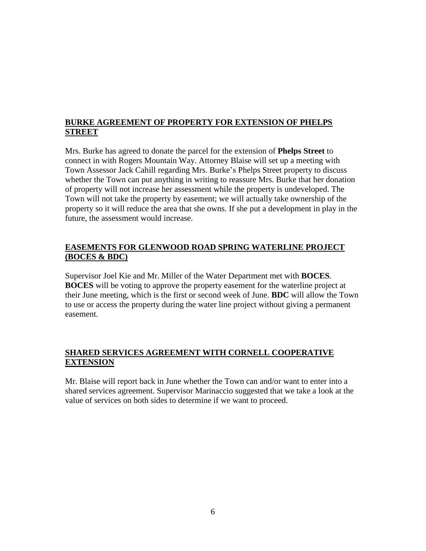## **BURKE AGREEMENT OF PROPERTY FOR EXTENSION OF PHELPS STREET**

Mrs. Burke has agreed to donate the parcel for the extension of **Phelps Street** to connect in with Rogers Mountain Way. Attorney Blaise will set up a meeting with Town Assessor Jack Cahill regarding Mrs. Burke's Phelps Street property to discuss whether the Town can put anything in writing to reassure Mrs. Burke that her donation of property will not increase her assessment while the property is undeveloped. The Town will not take the property by easement; we will actually take ownership of the property so it will reduce the area that she owns. If she put a development in play in the future, the assessment would increase.

## **EASEMENTS FOR GLENWOOD ROAD SPRING WATERLINE PROJECT (BOCES & BDC)**

Supervisor Joel Kie and Mr. Miller of the Water Department met with **BOCES**. **BOCES** will be voting to approve the property easement for the waterline project at their June meeting, which is the first or second week of June. **BDC** will allow the Town to use or access the property during the water line project without giving a permanent easement.

# **SHARED SERVICES AGREEMENT WITH CORNELL COOPERATIVE EXTENSION**

Mr. Blaise will report back in June whether the Town can and/or want to enter into a shared services agreement. Supervisor Marinaccio suggested that we take a look at the value of services on both sides to determine if we want to proceed.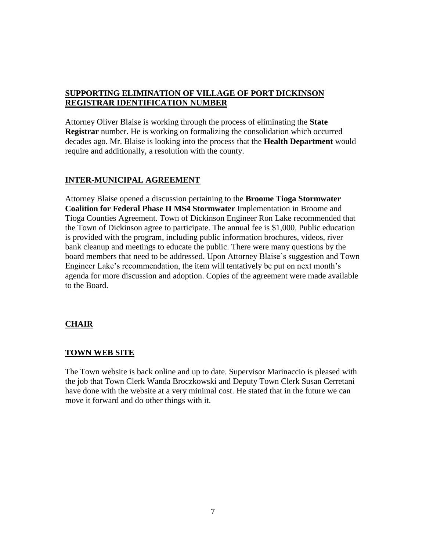## **SUPPORTING ELIMINATION OF VILLAGE OF PORT DICKINSON REGISTRAR IDENTIFICATION NUMBER**

Attorney Oliver Blaise is working through the process of eliminating the **State Registrar** number. He is working on formalizing the consolidation which occurred decades ago. Mr. Blaise is looking into the process that the **Health Department** would require and additionally, a resolution with the county.

## **INTER-MUNICIPAL AGREEMENT**

Attorney Blaise opened a discussion pertaining to the **Broome Tioga Stormwater Coalition for Federal Phase II MS4 Stormwater** Implementation in Broome and Tioga Counties Agreement. Town of Dickinson Engineer Ron Lake recommended that the Town of Dickinson agree to participate. The annual fee is \$1,000. Public education is provided with the program, including public information brochures, videos, river bank cleanup and meetings to educate the public. There were many questions by the board members that need to be addressed. Upon Attorney Blaise's suggestion and Town Engineer Lake's recommendation, the item will tentatively be put on next month's agenda for more discussion and adoption. Copies of the agreement were made available to the Board.

# **CHAIR**

### **TOWN WEB SITE**

The Town website is back online and up to date. Supervisor Marinaccio is pleased with the job that Town Clerk Wanda Broczkowski and Deputy Town Clerk Susan Cerretani have done with the website at a very minimal cost. He stated that in the future we can move it forward and do other things with it.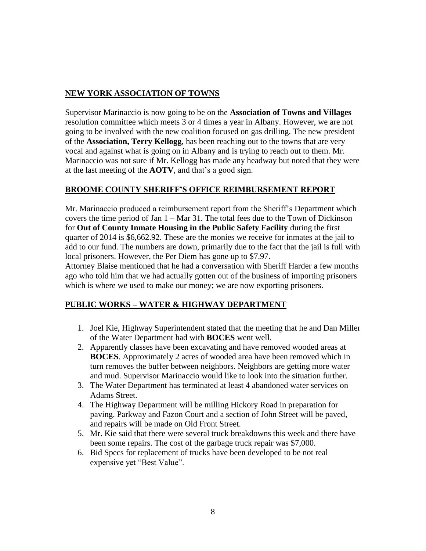## **NEW YORK ASSOCIATION OF TOWNS**

Supervisor Marinaccio is now going to be on the **Association of Towns and Villages** resolution committee which meets 3 or 4 times a year in Albany. However, we are not going to be involved with the new coalition focused on gas drilling. The new president of the **Association, Terry Kellogg**, has been reaching out to the towns that are very vocal and against what is going on in Albany and is trying to reach out to them. Mr. Marinaccio was not sure if Mr. Kellogg has made any headway but noted that they were at the last meeting of the **AOTV**, and that's a good sign.

## **BROOME COUNTY SHERIFF'S OFFICE REIMBURSEMENT REPORT**

Mr. Marinaccio produced a reimbursement report from the Sheriff's Department which covers the time period of Jan 1 – Mar 31. The total fees due to the Town of Dickinson for **Out of County Inmate Housing in the Public Safety Facility** during the first quarter of 2014 is \$6,662.92. These are the monies we receive for inmates at the jail to add to our fund. The numbers are down, primarily due to the fact that the jail is full with local prisoners. However, the Per Diem has gone up to \$7.97.

Attorney Blaise mentioned that he had a conversation with Sheriff Harder a few months ago who told him that we had actually gotten out of the business of importing prisoners which is where we used to make our money; we are now exporting prisoners.

# **PUBLIC WORKS – WATER & HIGHWAY DEPARTMENT**

- 1. Joel Kie, Highway Superintendent stated that the meeting that he and Dan Miller of the Water Department had with **BOCES** went well.
- 2. Apparently classes have been excavating and have removed wooded areas at **BOCES**. Approximately 2 acres of wooded area have been removed which in turn removes the buffer between neighbors. Neighbors are getting more water and mud. Supervisor Marinaccio would like to look into the situation further.
- 3. The Water Department has terminated at least 4 abandoned water services on Adams Street.
- 4. The Highway Department will be milling Hickory Road in preparation for paving. Parkway and Fazon Court and a section of John Street will be paved, and repairs will be made on Old Front Street.
- 5. Mr. Kie said that there were several truck breakdowns this week and there have been some repairs. The cost of the garbage truck repair was \$7,000.
- 6. Bid Specs for replacement of trucks have been developed to be not real expensive yet "Best Value".